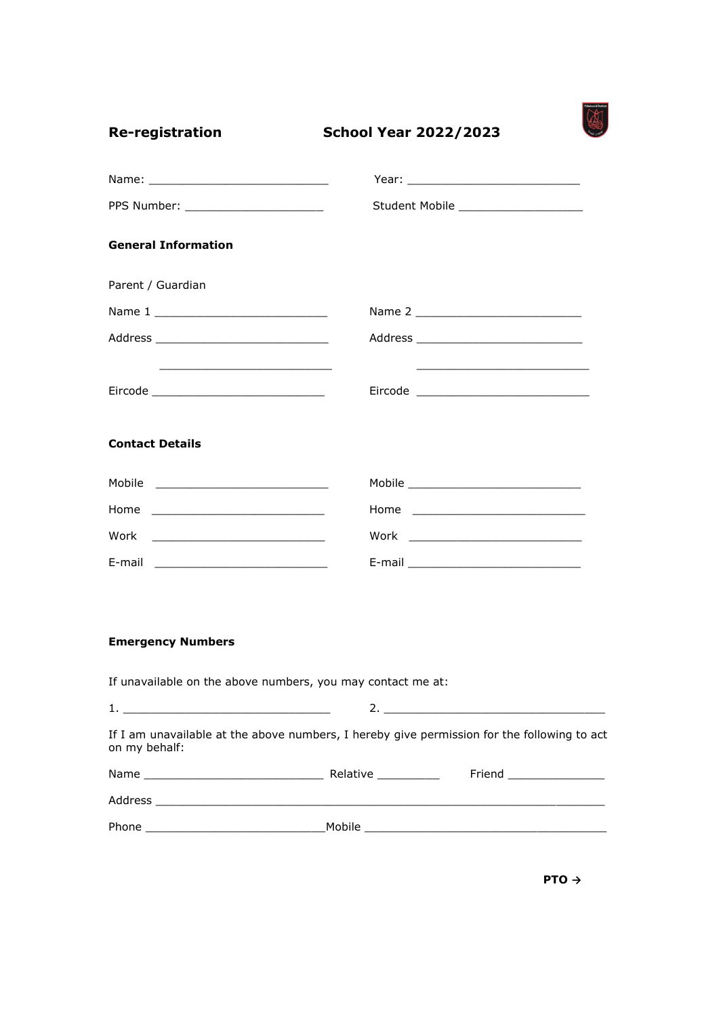|                                                                                                                 | Student Mobile _____________________                                                                                   |
|-----------------------------------------------------------------------------------------------------------------|------------------------------------------------------------------------------------------------------------------------|
| <b>General Information</b>                                                                                      |                                                                                                                        |
| Parent / Guardian                                                                                               |                                                                                                                        |
|                                                                                                                 |                                                                                                                        |
|                                                                                                                 | Address ________________________________                                                                               |
|                                                                                                                 | <u> 2002 - Jan James James Jan James James James James James James James James James James James James James James</u> |
| <b>Contact Details</b>                                                                                          |                                                                                                                        |
|                                                                                                                 |                                                                                                                        |
|                                                                                                                 |                                                                                                                        |
|                                                                                                                 |                                                                                                                        |
|                                                                                                                 |                                                                                                                        |
| <b>Emergency Numbers</b>                                                                                        |                                                                                                                        |
| If unavailable on the above numbers, you may contact me at:                                                     |                                                                                                                        |
|                                                                                                                 |                                                                                                                        |
| If I am unavailable at the above numbers, I hereby give permission for the following to act<br>on my behalf:    |                                                                                                                        |
|                                                                                                                 |                                                                                                                        |
| Address and the contract of the contract of the contract of the contract of the contract of the contract of the |                                                                                                                        |
|                                                                                                                 |                                                                                                                        |

**PTO →**